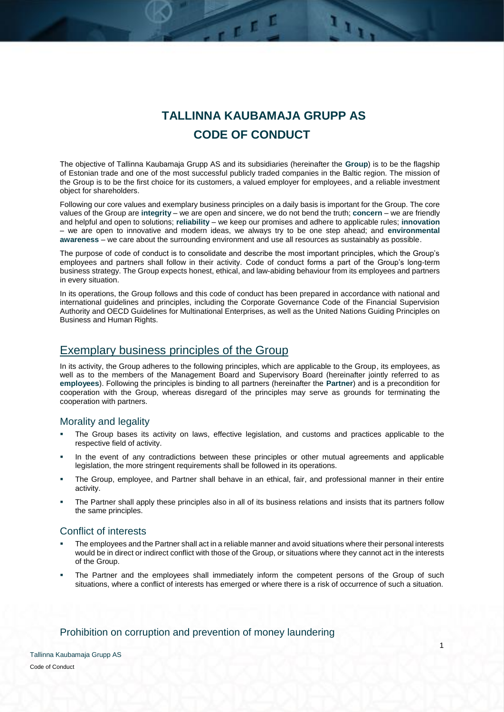# **TALLINNA KAUBAMAJA GRUPP AS CODE OF CONDUCT**

 $\mathbf{F}$ 

The objective of Tallinna Kaubamaja Grupp AS and its subsidiaries (hereinafter the **Group**) is to be the flagship of Estonian trade and one of the most successful publicly traded companies in the Baltic region. The mission of the Group is to be the first choice for its customers, a valued employer for employees, and a reliable investment object for shareholders.

TEEL

Following our core values and exemplary business principles on a daily basis is important for the Group. The core values of the Group are **integrity** – we are open and sincere, we do not bend the truth; **concern** – we are friendly and helpful and open to solutions; **reliability** – we keep our promises and adhere to applicable rules; **innovation** – we are open to innovative and modern ideas, we always try to be one step ahead; and **environmental awareness** – we care about the surrounding environment and use all resources as sustainably as possible.

The purpose of code of conduct is to consolidate and describe the most important principles, which the Group's employees and partners shall follow in their activity. Code of conduct forms a part of the Group's long-term business strategy. The Group expects honest, ethical, and law-abiding behaviour from its employees and partners in every situation.

In its operations, the Group follows and this code of conduct has been prepared in accordance with national and international guidelines and principles, including the Corporate Governance Code of the Financial Supervision Authority and OECD Guidelines for Multinational Enterprises, as well as the United Nations Guiding Principles on Business and Human Rights.

### Exemplary business principles of the Group

In its activity, the Group adheres to the following principles, which are applicable to the Group, its employees, as well as to the members of the Management Board and Supervisory Board (hereinafter jointly referred to as **employees**). Following the principles is binding to all partners (hereinafter the **Partner**) and is a precondition for cooperation with the Group, whereas disregard of the principles may serve as grounds for terminating the cooperation with partners.

#### Morality and legality

- The Group bases its activity on laws, effective legislation, and customs and practices applicable to the respective field of activity.
- In the event of any contradictions between these principles or other mutual agreements and applicable legislation, the more stringent requirements shall be followed in its operations.
- The Group, employee, and Partner shall behave in an ethical, fair, and professional manner in their entire activity.
- The Partner shall apply these principles also in all of its business relations and insists that its partners follow the same principles.

#### Conflict of interests

- The employees and the Partner shall act in a reliable manner and avoid situations where their personal interests would be in direct or indirect conflict with those of the Group, or situations where they cannot act in the interests of the Group.
- The Partner and the employees shall immediately inform the competent persons of the Group of such situations, where a conflict of interests has emerged or where there is a risk of occurrence of such a situation.

#### Prohibition on corruption and prevention of money laundering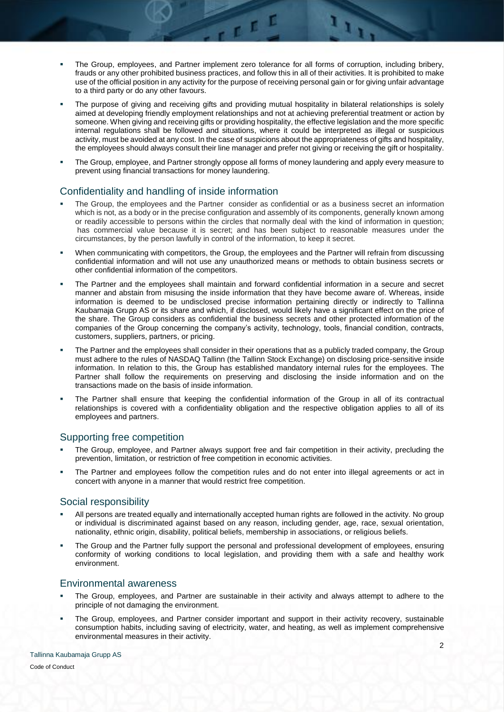The Group, employees, and Partner implement zero tolerance for all forms of corruption, including bribery, frauds or any other prohibited business practices, and follow this in all of their activities. It is prohibited to make use of the official position in any activity for the purpose of receiving personal gain or for giving unfair advantage to a third party or do any other favours.

 $\overline{\mathbf{u}^{\mathbf{t}}\mathbf{u}}$ 

IT.

- The purpose of giving and receiving gifts and providing mutual hospitality in bilateral relationships is solely aimed at developing friendly employment relationships and not at achieving preferential treatment or action by someone. When giving and receiving gifts or providing hospitality, the effective legislation and the more specific internal regulations shall be followed and situations, where it could be interpreted as illegal or suspicious activity, must be avoided at any cost. In the case of suspicions about the appropriateness of gifts and hospitality, the employees should always consult their line manager and prefer not giving or receiving the gift or hospitality.
- The Group, employee, and Partner strongly oppose all forms of money laundering and apply every measure to prevent using financial transactions for money laundering.

#### Confidentiality and handling of inside information

- The Group, the employees and the Partner consider as confidential or as a business secret an information which is not, as a body or in the precise configuration and assembly of its components, generally known among or readily accessible to persons within the circles that normally deal with the kind of information in question; has commercial value because it is secret; and has been subject to reasonable measures under the circumstances, by the person lawfully in control of the information, to keep it secret.
- When communicating with competitors, the Group, the employees and the Partner will refrain from discussing confidential information and will not use any unauthorized means or methods to obtain business secrets or other confidential information of the competitors.
- The Partner and the employees shall maintain and forward confidential information in a secure and secret manner and abstain from misusing the inside information that they have become aware of. Whereas, inside information is deemed to be undisclosed precise information pertaining directly or indirectly to Tallinna Kaubamaja Grupp AS or its share and which, if disclosed, would likely have a significant effect on the price of the share. The Group considers as confidential the business secrets and other protected information of the companies of the Group concerning the company's activity, technology, tools, financial condition, contracts, customers, suppliers, partners, or pricing.
- The Partner and the employees shall consider in their operations that as a publicly traded company, the Group must adhere to the rules of NASDAQ Tallinn (the Tallinn Stock Exchange) on disclosing price-sensitive inside information. In relation to this, the Group has established mandatory internal rules for the employees. The Partner shall follow the requirements on preserving and disclosing the inside information and on the transactions made on the basis of inside information.
- The Partner shall ensure that keeping the confidential information of the Group in all of its contractual relationships is covered with a confidentiality obligation and the respective obligation applies to all of its employees and partners.

#### Supporting free competition

- The Group, employee, and Partner always support free and fair competition in their activity, precluding the prevention, limitation, or restriction of free competition in economic activities.
- The Partner and employees follow the competition rules and do not enter into illegal agreements or act in concert with anyone in a manner that would restrict free competition.

#### Social responsibility

- All persons are treated equally and internationally accepted human rights are followed in the activity. No group or individual is discriminated against based on any reason, including gender, age, race, sexual orientation, nationality, ethnic origin, disability, political beliefs, membership in associations, or religious beliefs.
- The Group and the Partner fully support the personal and professional development of employees, ensuring conformity of working conditions to local legislation, and providing them with a safe and healthy work environment.

#### Environmental awareness

- The Group, employees, and Partner are sustainable in their activity and always attempt to adhere to the principle of not damaging the environment.
- The Group, employees, and Partner consider important and support in their activity recovery, sustainable consumption habits, including saving of electricity, water, and heating, as well as implement comprehensive environmental measures in their activity.